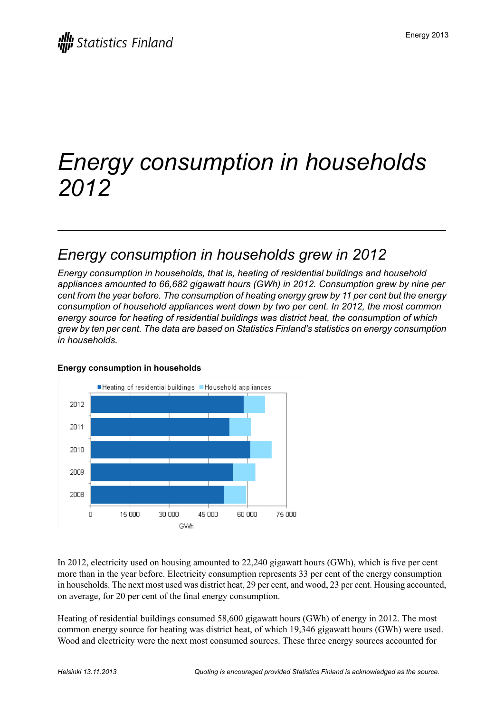# *Energy consumption in households 2012*

### *Energy consumption in households grew in 2012*

*Energy consumption in households, that is, heating of residential buildings and household appliances amounted to 66,682 gigawatt hours (GWh) in 2012. Consumption grew by nine per cent from the year before. The consumption of heating energy grew by 11 per cent but the energy consumption of household appliances went down by two per cent. In 2012, the most common energy source for heating of residential buildings was district heat, the consumption of which grew by ten per cent. The data are based on Statistics Finland's statistics on energy consumption in households.*



#### **Energy consumption in households**

In 2012, electricity used on housing amounted to 22,240 gigawatt hours (GWh), which is five per cent more than in the year before. Electricity consumption represents 33 per cent of the energy consumption in households. The next most used was district heat, 29 per cent, and wood, 23 per cent. Housing accounted, on average, for 20 per cent of the final energy consumption.

Heating of residential buildings consumed 58,600 gigawatt hours (GWh) of energy in 2012. The most common energy source for heating was district heat, of which 19,346 gigawatt hours (GWh) were used. Wood and electricity were the next most consumed sources. These three energy sources accounted for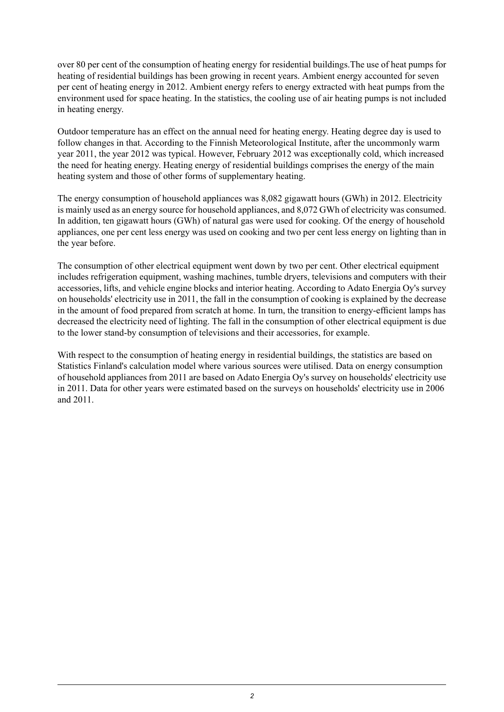over 80 per cent of the consumption of heating energy for residential buildings.The use of heat pumps for heating of residential buildings has been growing in recent years. Ambient energy accounted for seven per cent of heating energy in 2012. Ambient energy refers to energy extracted with heat pumps from the environment used for space heating. In the statistics, the cooling use of air heating pumps is not included in heating energy.

Outdoor temperature has an effect on the annual need for heating energy. Heating degree day is used to follow changes in that. According to the Finnish Meteorological Institute, after the uncommonly warm year 2011, the year 2012 was typical. However, February 2012 was exceptionally cold, which increased the need for heating energy. Heating energy of residential buildings comprises the energy of the main heating system and those of other forms of supplementary heating.

The energy consumption of household appliances was 8,082 gigawatt hours (GWh) in 2012. Electricity is mainly used as an energy source for household appliances, and 8,072 GWh of electricity was consumed. In addition, ten gigawatt hours (GWh) of natural gas were used for cooking. Of the energy of household appliances, one per cent less energy was used on cooking and two per cent less energy on lighting than in the year before.

The consumption of other electrical equipment went down by two per cent. Other electrical equipment includes refrigeration equipment, washing machines, tumble dryers, televisions and computers with their accessories, lifts, and vehicle engine blocks and interior heating. According to Adato Energia Oy's survey on households' electricity use in 2011, the fall in the consumption of cooking is explained by the decrease in the amount of food prepared from scratch at home. In turn, the transition to energy-efficient lamps has decreased the electricity need of lighting. The fall in the consumption of other electrical equipment is due to the lower stand-by consumption of televisions and their accessories, for example.

With respect to the consumption of heating energy in residential buildings, the statistics are based on Statistics Finland's calculation model where various sources were utilised. Data on energy consumption of household appliances from 2011 are based on Adato Energia Oy's survey on households' electricity use in 2011. Data for other years were estimated based on the surveys on households' electricity use in 2006 and 2011.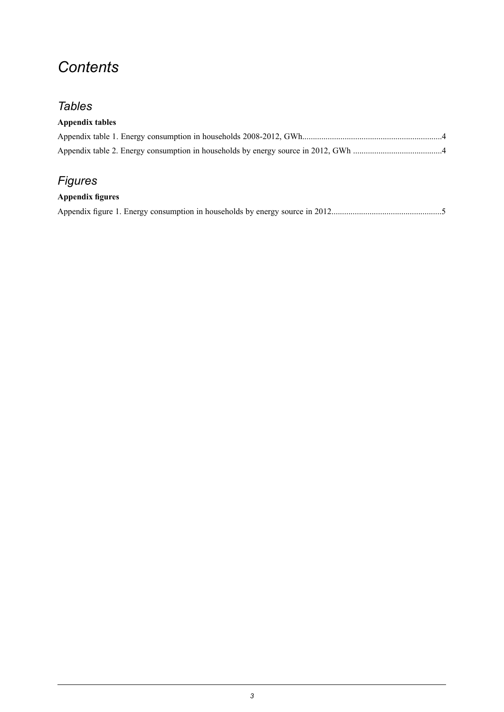## *Contents*

### *Tables*

#### **Appendix tables**

### *Figures*

#### **Appendix figures**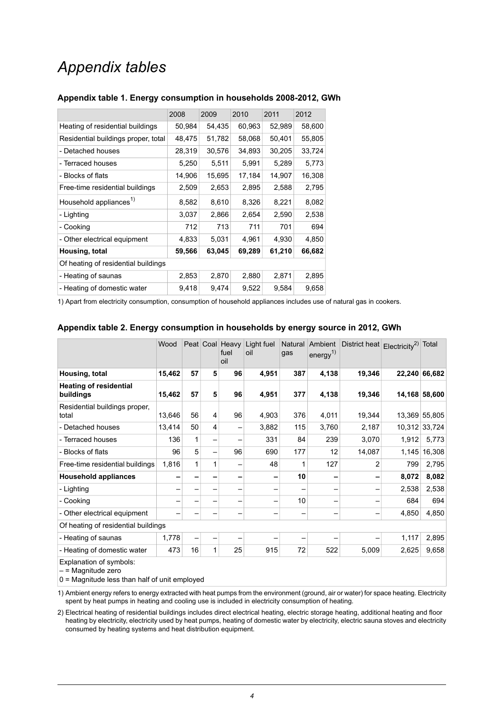### *Appendix tables*

|                                     | 2008   | 2009   | 2010   | 2011   | 2012   |  |  |  |
|-------------------------------------|--------|--------|--------|--------|--------|--|--|--|
| Heating of residential buildings    | 50,984 | 54,435 | 60,963 | 52,989 | 58,600 |  |  |  |
| Residential buildings proper, total | 48,475 | 51,782 | 58,068 | 50,401 | 55,805 |  |  |  |
| - Detached houses                   | 28,319 | 30,576 | 34,893 | 30,205 | 33,724 |  |  |  |
| - Terraced houses                   | 5,250  | 5,511  | 5,991  | 5,289  | 5,773  |  |  |  |
| - Blocks of flats                   | 14,906 | 15,695 | 17,184 | 14,907 | 16,308 |  |  |  |
| Free-time residential buildings     | 2,509  | 2,653  | 2,895  | 2,588  | 2,795  |  |  |  |
| Household appliances <sup>1)</sup>  | 8,582  | 8,610  | 8,326  | 8,221  | 8,082  |  |  |  |
| - Lighting                          | 3,037  | 2,866  | 2,654  | 2,590  | 2,538  |  |  |  |
| - Cooking                           | 712    | 713    | 711    | 701    | 694    |  |  |  |
| - Other electrical equipment        | 4,833  | 5,031  | 4,961  | 4,930  | 4,850  |  |  |  |
| Housing, total                      | 59,566 | 63,045 | 69,289 | 61,210 | 66,682 |  |  |  |
| Of heating of residential buildings |        |        |        |        |        |  |  |  |
| - Heating of saunas                 | 2,853  | 2,870  | 2,880  | 2,871  | 2,895  |  |  |  |
| - Heating of domestic water         | 9,418  | 9,474  | 9,522  | 9,584  | 9,658  |  |  |  |

#### <span id="page-3-0"></span>**Appendix table 1. Energy consumption in households 2008-2012, GWh**

<span id="page-3-1"></span>1) Apart from electricity consumption, consumption of household appliances includes use of natural gas in cookers.

|                                            | Wood   |    |                 | Peat Coal Heavy<br>fuel<br>oil | Light fuel<br>oil | Natural<br>gas | Ambient<br>energy $^{1)}$ | District heat | Electricity <sup>2)</sup> Total |               |
|--------------------------------------------|--------|----|-----------------|--------------------------------|-------------------|----------------|---------------------------|---------------|---------------------------------|---------------|
| Housing, total                             | 15,462 | 57 | 5               | 96                             | 4,951             | 387            | 4,138                     | 19,346        |                                 | 22,240 66,682 |
| <b>Heating of residential</b><br>buildings | 15,462 | 57 | 5               | 96                             | 4,951             | 377            | 4,138                     | 19,346        |                                 | 14,168 58,600 |
| Residential buildings proper,<br>total     | 13,646 | 56 | 4               | 96                             | 4,903             | 376            | 4,011                     | 19,344        |                                 | 13,369 55,805 |
| - Detached houses                          | 13,414 | 50 | $\overline{4}$  |                                | 3,882             | 115            | 3,760                     | 2,187         |                                 | 10,312 33,724 |
| - Terraced houses                          | 136    | 1  | -               |                                | 331               | 84             | 239                       | 3,070         | 1,912                           | 5,773         |
| - Blocks of flats                          | 96     | 5  | $\qquad \qquad$ | 96                             | 690               | 177            | 12                        | 14,087        | 1,145                           | 16,308        |
| Free-time residential buildings            | 1,816  | 1  | 1               |                                | 48                | 1              | 127                       | 2             | 799                             | 2,795         |
| <b>Household appliances</b>                |        |    |                 |                                |                   | 10             |                           |               | 8,072                           | 8,082         |
| - Lighting                                 |        |    |                 |                                |                   |                |                           |               | 2,538                           | 2,538         |
| - Cooking                                  |        |    |                 |                                |                   | 10             |                           |               | 684                             | 694           |
| - Other electrical equipment               |        |    |                 |                                |                   |                |                           |               | 4,850                           | 4,850         |
| Of heating of residential buildings        |        |    |                 |                                |                   |                |                           |               |                                 |               |
| - Heating of saunas                        | 1,778  | -  | -               |                                |                   |                |                           |               | 1,117                           | 2,895         |
| - Heating of domestic water                | 473    | 16 | 1               | 25                             | 915               | 72             | 522                       | 5,009         | 2,625                           | 9,658         |

#### **Appendix table 2. Energy consumption in households by energy source in 2012, GWh**

Explanation of symbols:

 $-$  = Magnitude zero

 $0 =$  Magnitude less than half of unit employed

1) Ambient energy refers to energy extracted with heat pumps from the environment (ground, air or water) for space heating. Electricity spent by heat pumps in heating and cooling use is included in electricity consumption of heating.

Electrical heating of residential buildings includes direct electrical heating, electric storage heating, additional heating and floor 2) heating by electricity, electricity used by heat pumps, heating of domestic water by electricity, electric sauna stoves and electricity consumed by heating systems and heat distribution equipment.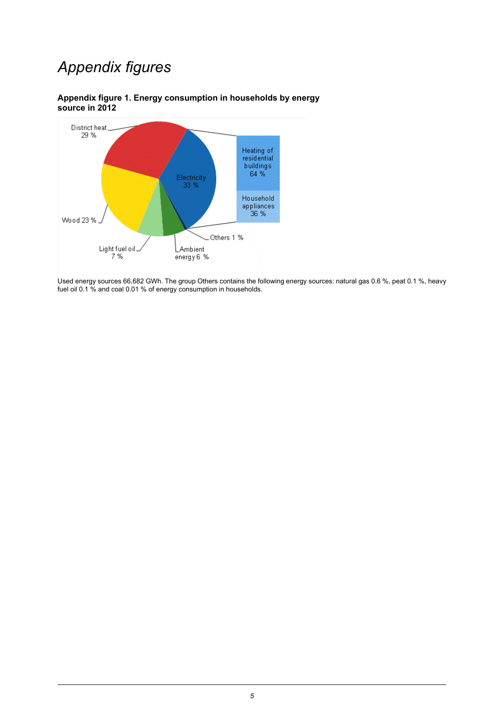## *Appendix figures*



<span id="page-4-0"></span>**Appendix figure 1. Energy consumption in households by energy source in 2012**

Used energy sources 66,682 GWh. The group Others contains the following energy sources: natural gas 0.6 %, peat 0.1 %, heavy fuel oil 0.1 % and coal 0.01 % of energy consumption in households.